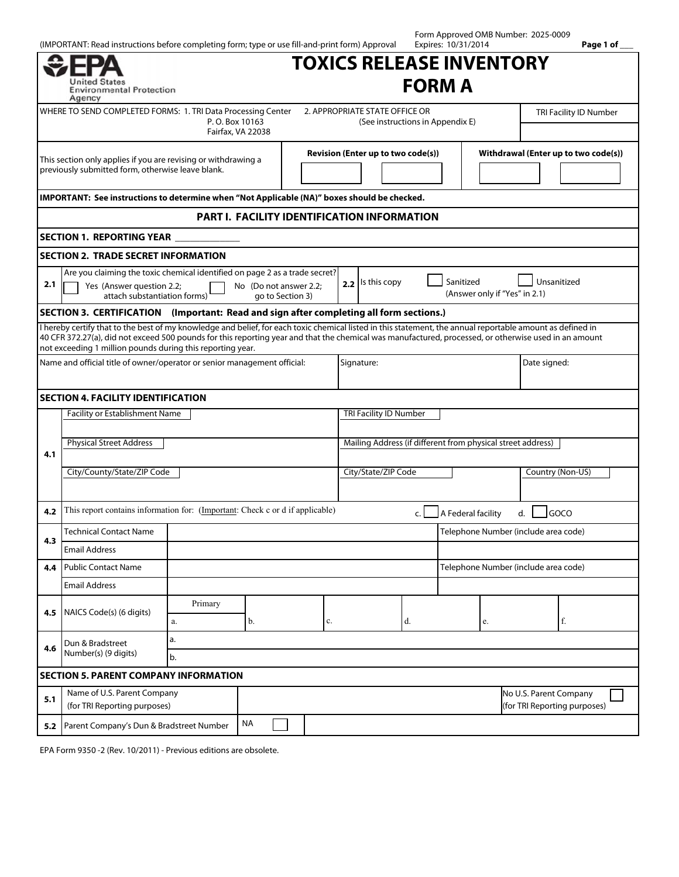|                                                                                                                     | (IMPORTANT: Read instructions before completing form; type or use fill-and-print form) Approval                                                                                                                                                                                                                                                                                   |           |                                                                                                                         |                                                                    |  |                                                             |    | Form Approved OMB Number: 2025-0009<br>Expires: 10/31/2014 |                                      |                        | Page 1 of ___ |
|---------------------------------------------------------------------------------------------------------------------|-----------------------------------------------------------------------------------------------------------------------------------------------------------------------------------------------------------------------------------------------------------------------------------------------------------------------------------------------------------------------------------|-----------|-------------------------------------------------------------------------------------------------------------------------|--------------------------------------------------------------------|--|-------------------------------------------------------------|----|------------------------------------------------------------|--------------------------------------|------------------------|---------------|
|                                                                                                                     | <b>Jnited States</b><br><b>Environmental Protection</b><br>Agency                                                                                                                                                                                                                                                                                                                 |           |                                                                                                                         |                                                                    |  | <b>TOXICS RELEASE INVENTORY</b>                             |    | <b>FORM A</b>                                              |                                      |                        |               |
| WHERE TO SEND COMPLETED FORMS: 1. TRI Data Processing Center<br>P.O. Box 10163<br>Fairfax, VA 22038                 |                                                                                                                                                                                                                                                                                                                                                                                   |           |                                                                                                                         | 2. APPROPRIATE STATE OFFICE OR<br>(See instructions in Appendix E) |  |                                                             |    |                                                            |                                      | TRI Facility ID Number |               |
| This section only applies if you are revising or withdrawing a<br>previously submitted form, otherwise leave blank. |                                                                                                                                                                                                                                                                                                                                                                                   |           |                                                                                                                         | Revision (Enter up to two code(s))                                 |  |                                                             |    |                                                            | Withdrawal (Enter up to two code(s)) |                        |               |
|                                                                                                                     | IMPORTANT: See instructions to determine when "Not Applicable (NA)" boxes should be checked.                                                                                                                                                                                                                                                                                      |           |                                                                                                                         |                                                                    |  |                                                             |    |                                                            |                                      |                        |               |
|                                                                                                                     |                                                                                                                                                                                                                                                                                                                                                                                   |           |                                                                                                                         |                                                                    |  | PART I. FACILITY IDENTIFICATION INFORMATION                 |    |                                                            |                                      |                        |               |
|                                                                                                                     | <b>SECTION 1. REPORTING YEAR</b>                                                                                                                                                                                                                                                                                                                                                  |           |                                                                                                                         |                                                                    |  |                                                             |    |                                                            |                                      |                        |               |
|                                                                                                                     | <b>SECTION 2. TRADE SECRET INFORMATION</b>                                                                                                                                                                                                                                                                                                                                        |           |                                                                                                                         |                                                                    |  |                                                             |    |                                                            |                                      |                        |               |
| 2.1                                                                                                                 | Are you claiming the toxic chemical identified on page 2 as a trade secret?<br>Sanitized<br>Unsanitized<br>2.2 Is this copy<br>No (Do not answer 2.2;<br>Yes (Answer question 2.2;<br>(Answer only if "Yes" in 2.1)<br>attach substantiation forms)<br>go to Section 3)                                                                                                           |           |                                                                                                                         |                                                                    |  |                                                             |    |                                                            |                                      |                        |               |
|                                                                                                                     | SECTION 3. CERTIFICATION (Important: Read and sign after completing all form sections.)                                                                                                                                                                                                                                                                                           |           |                                                                                                                         |                                                                    |  |                                                             |    |                                                            |                                      |                        |               |
|                                                                                                                     | I hereby certify that to the best of my knowledge and belief, for each toxic chemical listed in this statement, the annual reportable amount as defined in<br>40 CFR 372.27(a), did not exceed 500 pounds for this reporting year and that the chemical was manufactured, processed, or otherwise used in an amount<br>not exceeding 1 million pounds during this reporting year. |           |                                                                                                                         |                                                                    |  |                                                             |    |                                                            |                                      |                        |               |
| Name and official title of owner/operator or senior management official:                                            |                                                                                                                                                                                                                                                                                                                                                                                   |           |                                                                                                                         | Signature:                                                         |  |                                                             |    | Date signed:                                               |                                      |                        |               |
|                                                                                                                     | <b>SECTION 4. FACILITY IDENTIFICATION</b>                                                                                                                                                                                                                                                                                                                                         |           |                                                                                                                         |                                                                    |  |                                                             |    |                                                            |                                      |                        |               |
|                                                                                                                     | Facility or Establishment Name                                                                                                                                                                                                                                                                                                                                                    |           |                                                                                                                         |                                                                    |  | TRI Facility ID Number                                      |    |                                                            |                                      |                        |               |
|                                                                                                                     | <b>Physical Street Address</b>                                                                                                                                                                                                                                                                                                                                                    |           |                                                                                                                         |                                                                    |  | Mailing Address (if different from physical street address) |    |                                                            |                                      |                        |               |
| 4.1                                                                                                                 |                                                                                                                                                                                                                                                                                                                                                                                   |           |                                                                                                                         |                                                                    |  |                                                             |    |                                                            |                                      |                        |               |
|                                                                                                                     | City/County/State/ZIP Code                                                                                                                                                                                                                                                                                                                                                        |           |                                                                                                                         |                                                                    |  | City/State/ZIP Code                                         |    |                                                            |                                      | Country (Non-US)       |               |
|                                                                                                                     |                                                                                                                                                                                                                                                                                                                                                                                   |           |                                                                                                                         |                                                                    |  |                                                             |    |                                                            |                                      |                        |               |
| 4.2                                                                                                                 |                                                                                                                                                                                                                                                                                                                                                                                   |           | This report contains information for: (Important: Check c or d if applicable)<br>A Federal facility<br>GOCO<br>d.<br>C. |                                                                    |  |                                                             |    |                                                            |                                      |                        |               |
|                                                                                                                     | <b>Technical Contact Name</b>                                                                                                                                                                                                                                                                                                                                                     |           |                                                                                                                         |                                                                    |  | Telephone Number (include area code)                        |    |                                                            |                                      |                        |               |
| 4.3                                                                                                                 | <b>Email Address</b>                                                                                                                                                                                                                                                                                                                                                              |           |                                                                                                                         |                                                                    |  |                                                             |    |                                                            |                                      |                        |               |
| 4.4                                                                                                                 | <b>Public Contact Name</b>                                                                                                                                                                                                                                                                                                                                                        |           |                                                                                                                         |                                                                    |  |                                                             |    |                                                            | Telephone Number (include area code) |                        |               |
|                                                                                                                     | <b>Email Address</b>                                                                                                                                                                                                                                                                                                                                                              |           |                                                                                                                         |                                                                    |  |                                                             |    |                                                            |                                      |                        |               |
| 4.5                                                                                                                 | NAICS Code(s) (6 digits)                                                                                                                                                                                                                                                                                                                                                          | Primary   |                                                                                                                         |                                                                    |  |                                                             |    |                                                            |                                      |                        |               |
|                                                                                                                     |                                                                                                                                                                                                                                                                                                                                                                                   | $a$ .     | b.                                                                                                                      |                                                                    |  | c.                                                          | d. |                                                            | e.                                   |                        | f.            |
| 4.6                                                                                                                 | Dun & Bradstreet                                                                                                                                                                                                                                                                                                                                                                  | a.        |                                                                                                                         |                                                                    |  |                                                             |    |                                                            |                                      |                        |               |
|                                                                                                                     | Number(s) (9 digits)<br>b.                                                                                                                                                                                                                                                                                                                                                        |           |                                                                                                                         |                                                                    |  |                                                             |    |                                                            |                                      |                        |               |
|                                                                                                                     | <b>SECTION 5. PARENT COMPANY INFORMATION</b>                                                                                                                                                                                                                                                                                                                                      |           |                                                                                                                         |                                                                    |  |                                                             |    |                                                            |                                      |                        |               |
| Name of U.S. Parent Company<br>5.1<br>(for TRI Reporting purposes)                                                  |                                                                                                                                                                                                                                                                                                                                                                                   |           |                                                                                                                         | No U.S. Parent Company<br>(for TRI Reporting purposes)             |  |                                                             |    |                                                            |                                      |                        |               |
| 5.2                                                                                                                 | Parent Company's Dun & Bradstreet Number                                                                                                                                                                                                                                                                                                                                          | <b>NA</b> |                                                                                                                         |                                                                    |  |                                                             |    |                                                            |                                      |                        |               |

Form Approved OMB Number: 2025-0009

EPA Form 9350 -2 (Rev. 10/2011) - Previous editions are obsolete.